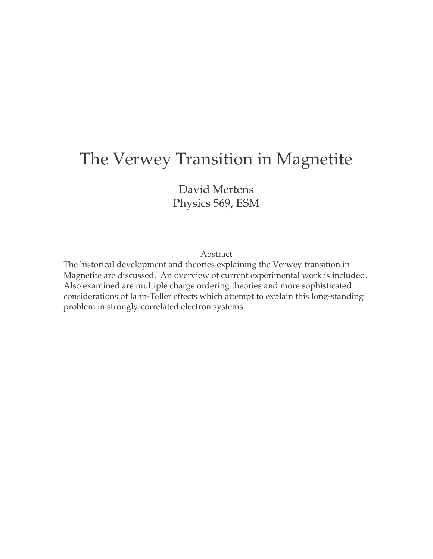# The Verwey Transition in Magnetite

David Mertens Physics 569, ESM

Abstract

The historical development and theories explaining the Verwey transition in Magnetite are discussed. An overview of current experimental work is included. Also examined are multiple charge ordering theories and more sophisticated considerations of Jahn-Teller effects which attempt to explain this long-standing problem in strongly-correlated electron systems.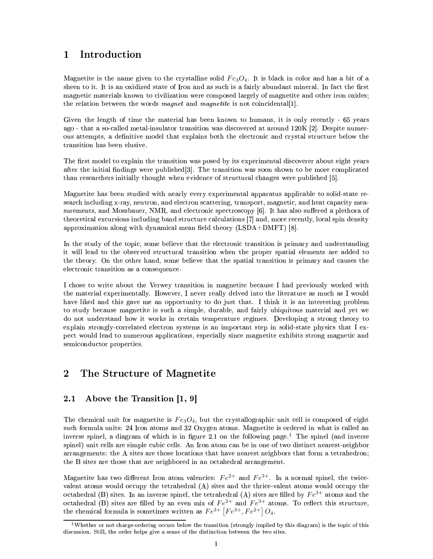## Introduction  $\mathbf 1$

Magnetite is the name given to the crystalline solid  $Fe<sub>3</sub>O<sub>4</sub>$ . It is black in color and has a bit of a sheen to it. It is an oxidized state of Iron and as such is a fairly abundant mineral. In fact the first magnetic materials known to civilization were composed largely of magnetite and other iron oxides; the relation between the words *magnet* and *magnetite* is not coincidental[1].

Given the length of time the material has been known to humans, it is only recently - 65 years ago - that a so-called metal-insulator transition was discovered at around 120K [2]. Despite numerous attempts, a definitive model that explains both the electronic and crystal structure below the transition has been elusive.

The first model to explain the transition was posed by its experimental discoverer about eight years after the initial findings were published [3]. The transition was soon shown to be more complicated than researchers initially thought when evidence of structural changes were published [5].

Magnetite has been studied with nearly every experimental apparatus applicable to solid-state research including x-ray, neutron, and electron scattering, transport, magnetic, and heat capacity measurements, and Mossbauer, NMR, and electronic spectroscopy [6]. It has also suffered a plethora of theoretical excursions including band structure calculations [7] and, more recently, local spin density approximation along with dynamical mean field theory  $(LSDA+DMFT)$  [8].

In the study of the topic, some believe that the electronic transition is primary and understanding it will lead to the observed structural transition when the proper spatial elements are added to the theory. On the other hand, some believe that the spatial transition is primary and causes the electronic transition as a consequence.

I chose to write about the Verwey transition in magnetite because I had previously worked with the material experimentally. However, I never really delved into the literature as much as I would have liked and this gave me an opportunity to do just that. I think it is an interesting problem to study because magnetite is such a simple, durable, and fairly ubiquitous material and yet we do not understand how it works in certain temperature regimes. Developing a strong theory to explain strongly-correlated electron systems is an important step in solid-state physics that I expect would lead to numerous applications, especially since magnetite exhibits strong magnetic and semiconductor properties.

# $\bf{2}$ The Structure of Magnetite

#### $2.1$ Above the Transition  $[1, 9]$

The chemical unit for magnetite is  $Fe<sub>3</sub>O<sub>4</sub>$ , but the crystallographic unit cell is composed of eight such formula units: 24 Iron atoms and 32 Oxygen atoms. Magnetite is ordered in what is called an inverse spinel, a diagram of which is in figure 2.1 on the following page.<sup>1</sup> The spinel (and inverse spinel) unit cells are simple cubic cells. An Iron atom can be in one of two distinct nearest-neighbor arrangements: the A sites are those locations that have nearest neighbors that form a tetrahedron; the B sites are those that are neighbored in an octahedral arrangement.

Magnetite has two different Iron atom valencies:  $Fe^{2+}$  and  $Fe^{3+}$ . In a normal spinel, the twicevalent atoms would occupy the tetrahedral (A) sites and the thrice-valent atoms would occupy the octahedral (B) sites. In an inverse spinel, the tetrahedral (A) sites are filled by  $Fe^{3+}$  atoms and the octahedral (B) sites are filled by an even mix of  $Fe^{2+}$  and  $Fe^{3+}$  atoms. To reflect this structure, the chemical formula is sometimes written as  $Fe^{3+}$   $[Fe^{3+},Fe^{2+}]$   $O_4$ .

 $1$ Whether or not charge-ordering occurs below the transition (strongly implied by this diagram) is the topic of this discussion. Still, the order helps give a sense of the distinction between the two sites.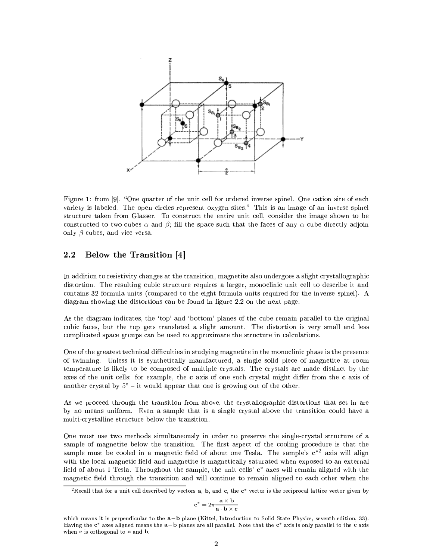

Figure 1: from [9]. "One quarter of the unit cell for ordered inverse spinel. One cation site of each rigure 1. nom [9]. One quand  $\frac{1}{2}$  is labeled. The open circles represent oxygen sites." This is an image of an inverse spinel variety is rabeled. The open cricles represent oxygen sites. This is an image of an inverse spiner<br>structure taken from Glasser. To construct the entire unit cell, consider the image shown to be structure taken from Grasser. To construct the entire unit cent, consider the mage shown to be constructed to two cubes  $\alpha$  and  $\beta$ ; fill the space such that the faces of any  $\alpha$  cube directly adjoin Fucted to two cubes  $\alpha$  and  $\rho$ , in the  $\beta$  cubes, and vice versa.

# Below the Transition  $[4]$

In addition to resistivity changes at the transition, magnetite also undergoes a slight crystallographic In addition to resistivity changes at the transition, magnetite also undergoes a signit crystalographic<br>distortion. The resulting cubic structure requires a larger, monoclinic unit cell to describe it and  $\alpha$  commute that  $\alpha$  is a compared to the eight formula units required for the inverse spiner). diagram showing the distortions can be found in figure 2.2 on the next page.

<u>Contract Contract Contract Contract Contract Contract Contract Contract Contract Contract Contract Contract Co</u> As the dragram indicates, the  $top$  and bottom planes of the cube rem As the diagram indicates, the top and bottom planes of the cube remain paramer to the original<br>cubic faces, but the top gets translated a slight amount. The distortion is very small and less complicated space groups can be used to approximate the structure in calculations.

 $\sigma$  is the greatest technical difficulties in studying magnetite in the monochine phase is the presence or ewriting. Oness it is synthetically manufactured, a single solid  $\mu$ or twinning. Oness it is synthetically manufactured, a single solid piece of magnetice at foom<br>temperature is likely to be composed of multiple crystals. The crystals are made distinct by the  $\alpha$  axes of the unit cells: for example, the **c** axis of one such crystal might differ from the **c** axis of rie unt cens. for example.<br>Crystal by 5° – it would

 $\mathcal{L} = \{ \mathcal{L} \mid \mathcal{L} \in \mathbb{R}^n : \mathcal{L} \neq \mathcal{L} \}$  . The contribution of  $\mathcal{L} = \{ \mathcal{L} \mid \mathcal{L} \neq \mathcal{L} \}$ we proceed unough the transition nom above, the crystanographic distortions that set in are by no means unnorm. Even a sample that is a single crys multi-crystalline structure below the transition.

One must use two methous simultaneously in order to She must use two methods simultaneously in order to preserve the single-crystal structure of a sample of magnetite below the transition. The first aspect of the cooling procedure is that the the cooling procedure is that the<br> $\therefore$  The sample's  $e^{2}$  axis will align sample must be cooled in a magnetic neighborhood one resia. The sample's  $C$  axis will align with the local magnetic neig and i. It here and magnetic is magnetically saturated when exposed to an external  $\alpha$ . Throughout the sample, the unit cells'  $\mathbf{c}^*$  axes will remain aligned with the  $\mu$  and  $\mu$  resident incurrence the sample, the unit cens  $\epsilon$  axes will remain angled with the

$$
\mathbf{c}^* = 2\pi \frac{\mathbf{a} \times \mathbf{b}}{\mathbf{a} \cdot \mathbf{b} \times \mathbf{c}}
$$

 $^{2}$ Recall that for a unit cell described by vectors a. b. and c. the c<sup>\*</sup> vector is the reciprocal lattice vector given by

which means it is perpendicular to the  $a - b$  plane (Kittel, Introduction to Solid State Physics, seventh edition, 33). which means it is perpendicular to the a−b plane (Kittel, Introduction to Solid State Physics, seventh edition, 33).<br>Having the c\* axes aligned means the a−b planes are all parallel. Note that the c\* axis is only parallel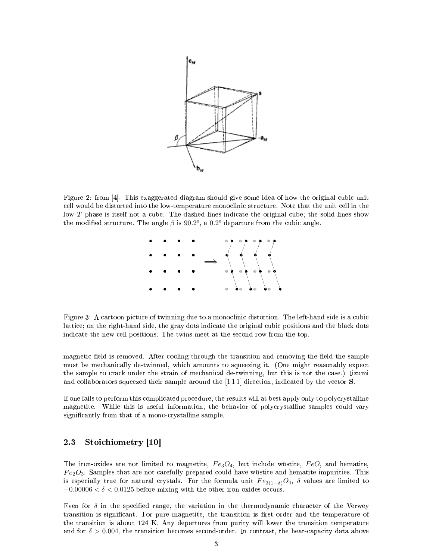

Figure 2: from [4]. This exaggerated diagram should give some idea of how the original cubic unit cell would be distorted into the low-temperature monoclinic structure. Note that the unit cell in the  $\sqrt{a}$  low-T phase is itself not a cube. The dashed lines indicate the original cube; the solid lines show the modified structure. The angle  $\beta$  is 90.2°, a 0.2° departure from the cubic angle.



Figure 3: A cartoon picture of twinning due to a monoclinic distortion. The left-hand side is a cubic lattice; on the right-hand side, the gray dots indicate the original cubic positions and the black dots indicate the new cell positions. The twins meet at the second row from the top.

magnetic field is removed. After cooling through the transition and removing the field the sample must be mechanically de-twinned, which amounts to squeezing it. (One might reasonably expect the sample to crack under the strain of mechanical de-twinning, but this is not the case.) Iizumi and collaborators squeezed their sample around the  $[111]$  direction, indicated by the vector S.

If one fails to perform this complicated procedure, the results will at best apply only to polycrystalline magnetite. While this is useful information, the behavior of polycrystalline samples could vary significantly from that of a mono-crystalline sample.

#### $2.3$ Stoichiometry [10]

The iron-oxides are not limited to magnetite,  $Fe<sub>3</sub>O<sub>4</sub>$ , but include wüstite,  $FeO$ , and hematite.  $Fe<sub>2</sub>O<sub>3</sub>$ . Samples that are not carefully prepared could have wüstite and hematite impurities. This is especially true for natural crystals. For the formula unit  $Fe_{3(1-\delta)}O_4$ ,  $\delta$  values are limited to  $-0.00006 < \delta < 0.0125$  before mixing with the other iron-oxides occurs.

Even for  $\delta$  in the specified range, the variation in the thermodynamic character of the Verwey transition is significant. For pure magnetite, the transition is first order and the temperature of the transition is about 124 K. Any departures from purity will lower the transition temperature and for  $\delta > 0.004$ , the transition becomes second-order. In contrast, the heat-capacity data above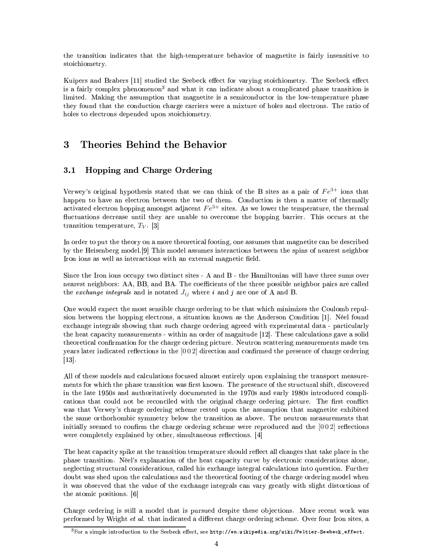the transition indicates that the high-temperature behavior of magnetite is fairly insensitive to stoichiometry.

Kuipers and Brabers [11] studied the Seebeck effect for varying stoichiometry. The Seebeck effect is a fairly complex phenomenon<sup>3</sup> and what it can indicate about a complicated phase transition is limited. Making the assumption that magnetite is a semiconductor in the low-temperature phase they found that the conduction charge carriers were a mixture of holes and electrons. The ratio of holes to electrons depended upon stoichiometry.

## 3 Theories Behind the Behavior

#### $3.1$ **Hopping and Charge Ordering**

Verwey's original hypothesis stated that we can think of the B sites as a pair of  $Fe^{3+}$  ions that happen to have an electron between the two of them. Conduction is then a matter of thermally activated electron hopping amongst adjacent  $Fe^{3+}$  sites. As we lower the temperature, the thermal fluctuations decrease until they are unable to overcome the hopping barrier. This occurs at the transition temperature,  $T_V$ . [3]

In order to put the theory on a more theoretical footing, one assumes that magnetite can be described by the Heisenberg model. [9] This model assumes interactions between the spins of nearest neighbor Iron ions as well as interactions with an external magnetic field.

Since the Iron ions occupy two distinct sites - A and B - the Hamiltonian will have three sums over nearest neighbors: AA, BB, and BA. The coefficients of the three possible neighbor pairs are called the exchange integrals and is notated  $J_{ij}$  where i and j are one of A and B.

One would expect the most sensible charge ordering to be that which minimizes the Coulomb repulsion between the hopping electrons, a situation known as the Anderson Condition [1]. Néel found exchange integrals showing that such charge ordering agreed with experimental data - particularly the heat capacity measurements - within an order of magnitude [12]. These calculations gave a solid theoretical confirmation for the charge ordering picture. Neutron scattering measurements made ten years later indicated reflections in the  $[002]$  direction and confirmed the presence of charge ordering  $\vert 13 \vert$ .

All of these models and calculations focused almost entirely upon explaining the transport measurements for which the phase transition was first known. The presence of the structural shift, discovered in the late 1950s and authoritatively documented in the 1970s and early 1980s introduced complications that could not be reconciled with the original charge ordering picture. The first conflict was that Verwey's charge ordering scheme rested upon the assumption that magnetite exhibited the same orthorhombic symmetry below the transition as above. The neutron measurements that initially seemed to confirm the charge ordering scheme were reproduced and the  $[002]$  reflections were completely explained by other, simultaneous reflections. [4]

The heat capacity spike at the transition temperature should reflect all changes that take place in the phase transition. Néel's explanation of the heat capacity curve by electronic considerations alone, neglecting structural considerations, called his exchange integral calculations into question. Further doubt was shed upon the calculations and the theoretical footing of the charge ordering model when it was observed that the value of the exchange integrals can vary greatly with slight distortions of the atomic positions. [6]

Charge ordering is still a model that is pursued despite these objections. More recent work was performed by Wright et al. that indicated a different charge ordering scheme. Over four Iron sites, a

 $\frac{3}{10}$ For a simple introduction to the Seebeck effect, see http://en.wikipedia.org/wiki/Peltier-Seebeck\_effect.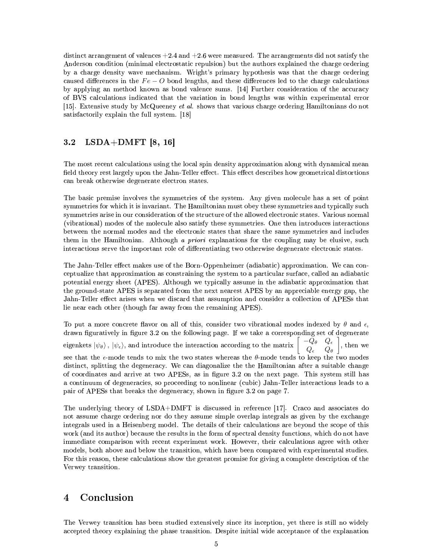distinct arrangement of valences  $+2.4$  and  $+2.6$  were measured. The arrangements did not satisfy the Anderson condition (minimal electrostatic repulsion) but the authors explained the charge ordering by a charge density wave mechanism. Wright's primary hypothesis was that the charge ordering caused differences in the  $Fe-O$  bond lengths, and these differences led to the charge calculations by applying an method known as bond valence sums. [14] Further consideration of the accuracy of BVS calculations indicated that the variation in bond lengths was within experimental error [15]. Extensive study by McQueeney *et al.* shows that various charge ordering Hamiltonians do not satisfactorily explain the full system. [18]

#### $3.2$  $LSDA+DMFT$  [8, 16]

The most recent calculations using the local spin density approximation along with dynamical mean field theory rest largely upon the Jahn-Teller effect. This effect describes how geometrical distortions can break otherwise degenerate electron states.

The basic premise involves the symmetries of the system. Any given molecule has a set of point symmetries for which it is invariant. The Hamiltonian must obey these symmetries and typically such symmetries arise in our consideration of the structure of the allowed electronic states. Various normal (vibrational) modes of the molecule also satisfy these symmetries. One then introduces interactions between the normal modes and the electronic states that share the same symmetries and includes them in the Hamiltonian. Although a priori explanations for the coupling may be elusive, such interactions serve the important role of differentiating two otherwise degenerate electronic states.

The Jahn-Teller effect makes use of the Born-Oppenheimer (adiabatic) approximation. We can conceptualize that approximation as constraining the system to a particular surface, called an adiabatic potential energy sheet (APES). Although we typically assume in the adiabatic approximation that the ground-state APES is separated from the next nearest APES by an appreciable energy gap, the Jahn-Teller effect arises when we discard that assumption and consider a collection of APESs that lie near each other (though far away from the remaining APES).

To put a more concrete flavor on all of this, consider two vibrational modes indexed by  $\theta$  and  $\epsilon$ . drawn figuratively in figure 3.2 on the following page. If we take a corresponding set of degenerate  $\left[\begin{array}{cc} -Q_{\theta} & Q_{\epsilon} \\ Q_{\epsilon} & Q_{\theta} \end{array}\right]$ , then we eigenkets  $|\psi_\theta\rangle\,,\,|\psi_\epsilon\rangle,$  and introduce the interaction according to the matrix see that the  $\epsilon$ -mode tends to mix the two states whereas the  $\theta$ -mode tends to keep the two modes distinct, splitting the degeneracy. We can diagonalize the the Hamiltonian after a suitable change of coordinates and arrive at two APESs, as in figure 3.2 on the next page. This system still has a continuum of degeneracies, so proceeding to nonlinear (cubic) Jahn-Teller interactions leads to a pair of APESs that breaks the degeneracy, shown in figure 3.2 on page 7.

The underlying theory of  $LSDA+DMFT$  is discussed in reference [17]. Craco and associates do not assume charge ordering nor do they assume simple overlap integrals as given by the exchange integrals used in a Heisenberg model. The details of their calculations are beyond the scope of this work (and its author) because the results in the form of spectral density functions, which do not have immediate comparison with recent experiment work. However, their calculations agree with other models, both above and below the transition, which have been compared with experimental studies. For this reason, these calculations show the greatest promise for giving a complete description of the Verwey transition.

### $\overline{\mathbf{4}}$ Conclusion

The Verwey transition has been studied extensively since its inception, yet there is still no widely accepted theory explaining the phase transition. Despite initial wide acceptance of the explanation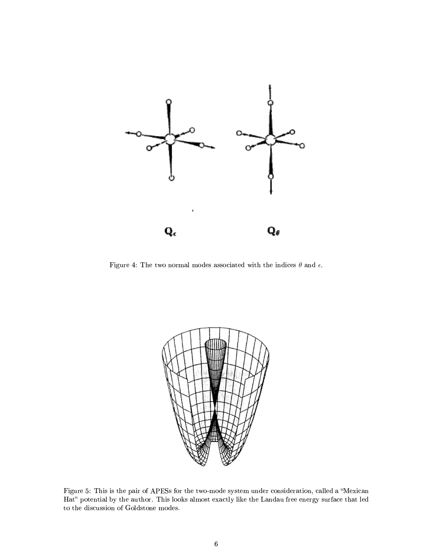

Figure 4: The two normal modes associated with the indices  $\theta$  and  $\epsilon$ .



Figure 5: This is the pair of APESs for the two-mode system under consideration, called a "Mexican Hat" potential by the author. This looks almost exactly like the Landau free energy surface that led to the discussion of Goldstone modes.